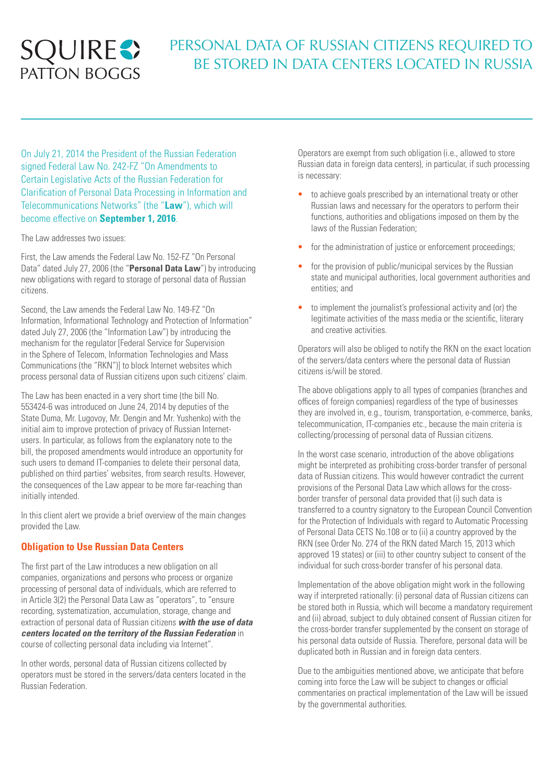# **SQUIRES**

# PERSONAL DATA OF RUSSIAN CITIZENS REQUIRED TO BE STORED IN DATA CENTERS LOCATED IN RUSSIA

On July 21, 2014 the President of the Russian Federation signed Federal Law No. 242-FZ "On Amendments to Certain Legislative Acts of the Russian Federation for Clarification of Personal Data Processing in Information and Telecommunications Networks" (the "**Law**"), which will become effective on **September 1, 2016**.

The Law addresses two issues:

First, the Law amends the Federal Law No. 152-FZ "On Personal Data" dated July 27, 2006 (the "**Personal Data Law**") by introducing new obligations with regard to storage of personal data of Russian citizens.

Second, the Law amends the Federal Law No. 149-FZ "On Information, Informational Technology and Protection of Information" dated July 27, 2006 (the "Information Law") by introducing the mechanism for the regulator [Federal Service for Supervision in the Sphere of Telecom, Information Technologies and Mass Communications (the "RKN")] to block Internet websites which process personal data of Russian citizens upon such citizens' claim.

The Law has been enacted in a very short time (the bill No. 553424-6 was introduced on June 24, 2014 by deputies of the State Duma, Mr. Lugovoy, Mr. Dengin and Mr. Yushenko) with the initial aim to improve protection of privacy of Russian Internetusers. In particular, as follows from the explanatory note to the bill, the proposed amendments would introduce an opportunity for such users to demand IT-companies to delete their personal data, published on third parties' websites, from search results. However, the consequences of the Law appear to be more far-reaching than initially intended.

In this client alert we provide a brief overview of the main changes provided the Law.

## **Obligation to Use Russian Data Centers**

The first part of the Law introduces a new obligation on all companies, organizations and persons who process or organize processing of personal data of individuals, which are referred to in Article 3(2) the Personal Data Law as "operators", to "ensure recording, systematization, accumulation, storage, change and extraction of personal data of Russian citizens *with the use of data centers located on the territory of the Russian Federation* in course of collecting personal data including via Internet".

In other words, personal data of Russian citizens collected by operators must be stored in the servers/data centers located in the Russian Federation.

Operators are exempt from such obligation (i.e., allowed to store Russian data in foreign data centers), in particular, if such processing is necessary:

- to achieve goals prescribed by an international treaty or other Russian laws and necessary for the operators to perform their functions, authorities and obligations imposed on them by the laws of the Russian Federation;
- for the administration of justice or enforcement proceedings;
- for the provision of public/municipal services by the Russian state and municipal authorities, local government authorities and entities; and
- to implement the journalist's professional activity and (or) the legitimate activities of the mass media or the scientific, literary and creative activities.

Operators will also be obliged to notify the RKN on the exact location of the servers/data centers where the personal data of Russian citizens is/will be stored.

The above obligations apply to all types of companies (branches and offices of foreign companies) regardless of the type of businesses they are involved in, e.g., tourism, transportation, e-commerce, banks, telecommunication, IT-companies etc., because the main criteria is collecting/processing of personal data of Russian citizens.

In the worst case scenario, introduction of the above obligations might be interpreted as prohibiting cross-border transfer of personal data of Russian citizens. This would however contradict the current provisions of the Personal Data Law which allows for the crossborder transfer of personal data provided that (i) such data is transferred to a country signatory to the European Council Convention for the Protection of Individuals with regard to Automatic Processing of Personal Data CETS No.108 or to (ii) a country approved by the RKN (see Order No. 274 of the RKN dated March 15, 2013 which approved 19 states) or (iii) to other country subject to consent of the individual for such cross-border transfer of his personal data.

Implementation of the above obligation might work in the following way if interpreted rationally: (i) personal data of Russian citizens can be stored both in Russia, which will become a mandatory requirement and (ii) abroad, subject to duly obtained consent of Russian citizen for the cross-border transfer supplemented by the consent on storage of his personal data outside of Russia. Therefore, personal data will be duplicated both in Russian and in foreign data centers.

Due to the ambiguities mentioned above, we anticipate that before coming into force the Law will be subject to changes or official commentaries on practical implementation of the Law will be issued by the governmental authorities.